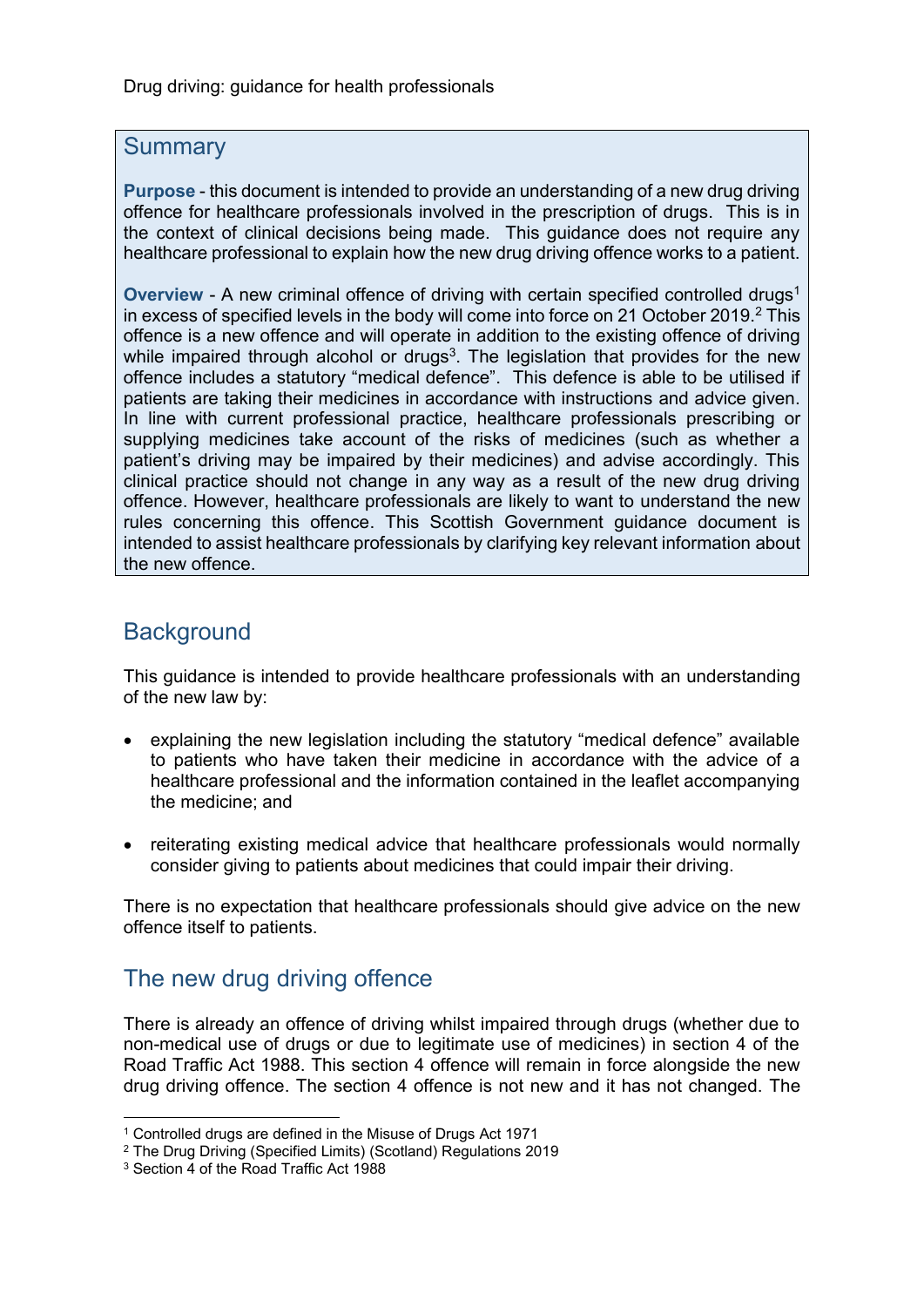#### **Summary**

**Purpose** - this document is intended to provide an understanding of a new drug driving offence for healthcare professionals involved in the prescription of drugs. This is in the context of clinical decisions being made. This guidance does not require any healthcare professional to explain how the new drug driving offence works to a patient.

**Overview** - A new criminal offence of driving with certain specified controlled drugs<sup>1</sup> in excess of specified levels in the body will come into force on 21 October 2019. $^2$  This offence is a new offence and will operate in addition to the existing offence of driving while impaired through alcohol or drugs<sup>3</sup>. The legislation that provides for the new offence includes a statutory "medical defence". This defence is able to be utilised if patients are taking their medicines in accordance with instructions and advice given. In line with current professional practice, healthcare professionals prescribing or supplying medicines take account of the risks of medicines (such as whether a patient's driving may be impaired by their medicines) and advise accordingly. This clinical practice should not change in any way as a result of the new drug driving offence. However, healthcare professionals are likely to want to understand the new rules concerning this offence. This Scottish Government guidance document is intended to assist healthcare professionals by clarifying key relevant information about the new offence.

## **Background**

This guidance is intended to provide healthcare professionals with an understanding of the new law by:

- explaining the new legislation including the statutory "medical defence" available to patients who have taken their medicine in accordance with the advice of a healthcare professional and the information contained in the leaflet accompanying the medicine; and
- reiterating existing medical advice that healthcare professionals would normally consider giving to patients about medicines that could impair their driving.

There is no expectation that healthcare professionals should give advice on the new offence itself to patients.

# The new drug driving offence

There is already an offence of driving whilst impaired through drugs (whether due to non-medical use of drugs or due to legitimate use of medicines) in section 4 of the Road Traffic Act 1988. This section 4 offence will remain in force alongside the new drug driving offence. The section 4 offence is not new and it has not changed. The

 <sup>1</sup> Controlled drugs are defined in the Misuse of Drugs Act 1971

<sup>2</sup> The Drug Driving (Specified Limits) (Scotland) Regulations 2019

<sup>3</sup> Section 4 of the Road Traffic Act 1988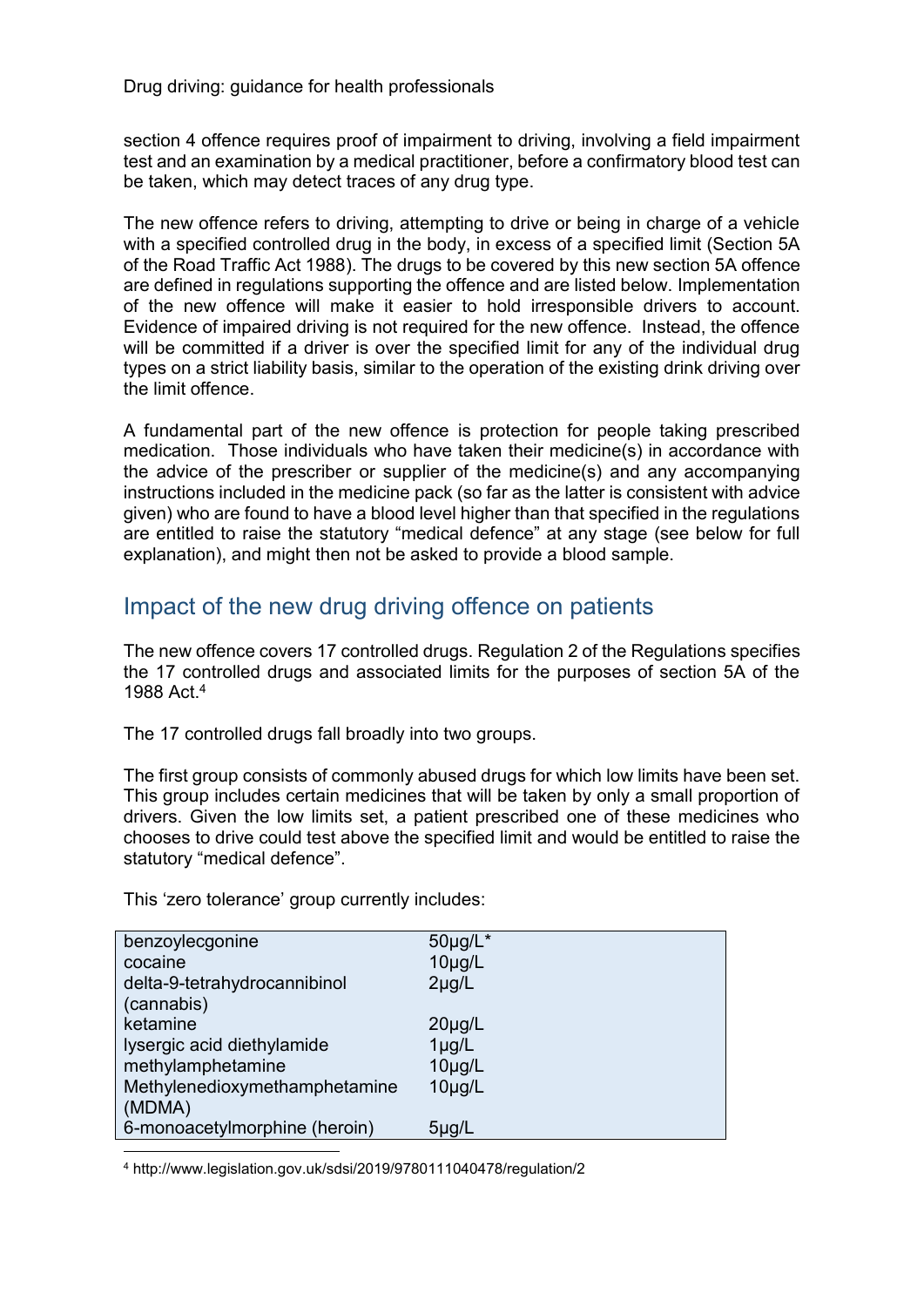Drug driving: guidance for health professionals

section 4 offence requires proof of impairment to driving, involving a field impairment test and an examination by a medical practitioner, before a confirmatory blood test can be taken, which may detect traces of any drug type.

The new offence refers to driving, attempting to drive or being in charge of a vehicle with a specified controlled drug in the body, in excess of a specified limit (Section 5A of the Road Traffic Act 1988). The drugs to be covered by this new section 5A offence are defined in regulations supporting the offence and are listed below. Implementation of the new offence will make it easier to hold irresponsible drivers to account. Evidence of impaired driving is not required for the new offence. Instead, the offence will be committed if a driver is over the specified limit for any of the individual drug types on a strict liability basis, similar to the operation of the existing drink driving over the limit offence.

A fundamental part of the new offence is protection for people taking prescribed medication. Those individuals who have taken their medicine(s) in accordance with the advice of the prescriber or supplier of the medicine(s) and any accompanying instructions included in the medicine pack (so far as the latter is consistent with advice given) who are found to have a blood level higher than that specified in the regulations are entitled to raise the statutory "medical defence" at any stage (see below for full explanation), and might then not be asked to provide a blood sample.

### Impact of the new drug driving offence on patients

The new offence covers 17 controlled drugs. Regulation 2 of the Regulations specifies the 17 controlled drugs and associated limits for the purposes of section 5A of the 1988 Act<sup>4</sup>

The 17 controlled drugs fall broadly into two groups.

The first group consists of commonly abused drugs for which low limits have been set. This group includes certain medicines that will be taken by only a small proportion of drivers. Given the low limits set, a patient prescribed one of these medicines who chooses to drive could test above the specified limit and would be entitled to raise the statutory "medical defence".

This 'zero tolerance' group currently includes:

| benzoylecgonine               | $50\mu g/L^*$ |
|-------------------------------|---------------|
| cocaine                       | $10\mu g/L$   |
| delta-9-tetrahydrocannibinol  | $2\mu g/L$    |
| (cannabis)                    |               |
| ketamine                      | $20\mu g/L$   |
| lysergic acid diethylamide    | $1\mu g/L$    |
| methylamphetamine             | $10\mu g/L$   |
| Methylenedioxymethamphetamine | $10\mug/L$    |
| (MDMA)                        |               |
| 6-monoacetylmorphine (heroin) | $5\mu$ g/L    |

4 http://www.legislation.gov.uk/sdsi/2019/9780111040478/regulation/2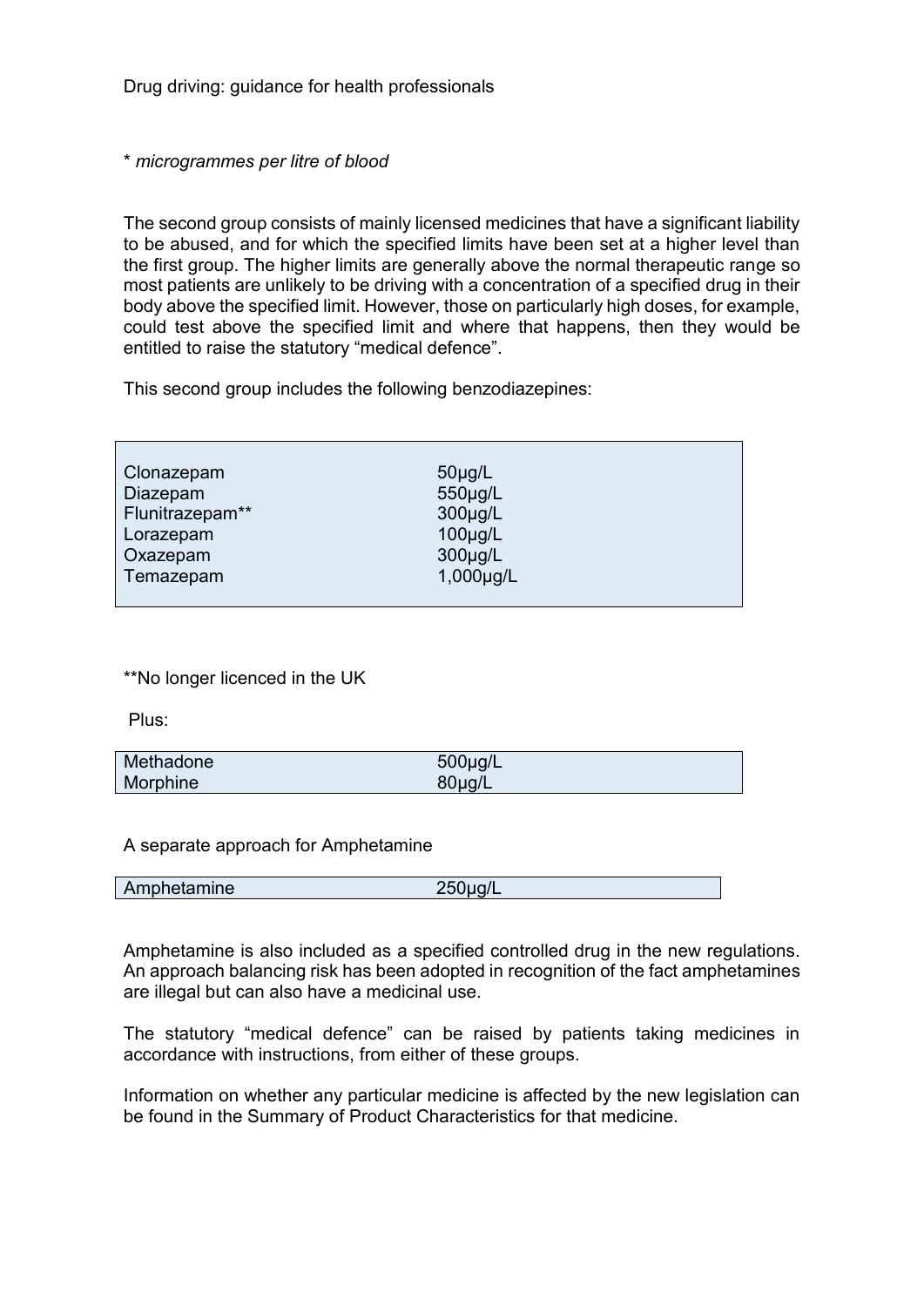Drug driving: guidance for health professionals

\* *microgrammes per litre of blood*

The second group consists of mainly licensed medicines that have a significant liability to be abused, and for which the specified limits have been set at a higher level than the first group. The higher limits are generally above the normal therapeutic range so most patients are unlikely to be driving with a concentration of a specified drug in their body above the specified limit. However, those on particularly high doses, for example, could test above the specified limit and where that happens, then they would be entitled to raise the statutory "medical defence".

This second group includes the following benzodiazepines:

| Clonazepam      | $50\mu g/L$  |
|-----------------|--------------|
| Diazepam        | 550µg/L      |
| Flunitrazepam** | $300\mu g/L$ |
| Lorazepam       | $100\mu g/L$ |
| Oxazepam        | $300\mu g/L$ |
| Temazepam       | 1,000µg/L    |
|                 |              |

\*\*No longer licenced in the UK

Plus:

| Methadone | 500µg/L     |
|-----------|-------------|
| Morphine  | $80\mu g/L$ |

A separate approach for Amphetamine

| Amphetamine | $250 \mu g/L$ |  |
|-------------|---------------|--|
|             |               |  |

Amphetamine is also included as a specified controlled drug in the new regulations. An approach balancing risk has been adopted in recognition of the fact amphetamines are illegal but can also have a medicinal use.

The statutory "medical defence" can be raised by patients taking medicines in accordance with instructions, from either of these groups.

Information on whether any particular medicine is affected by the new legislation can be found in the Summary of Product Characteristics for that medicine.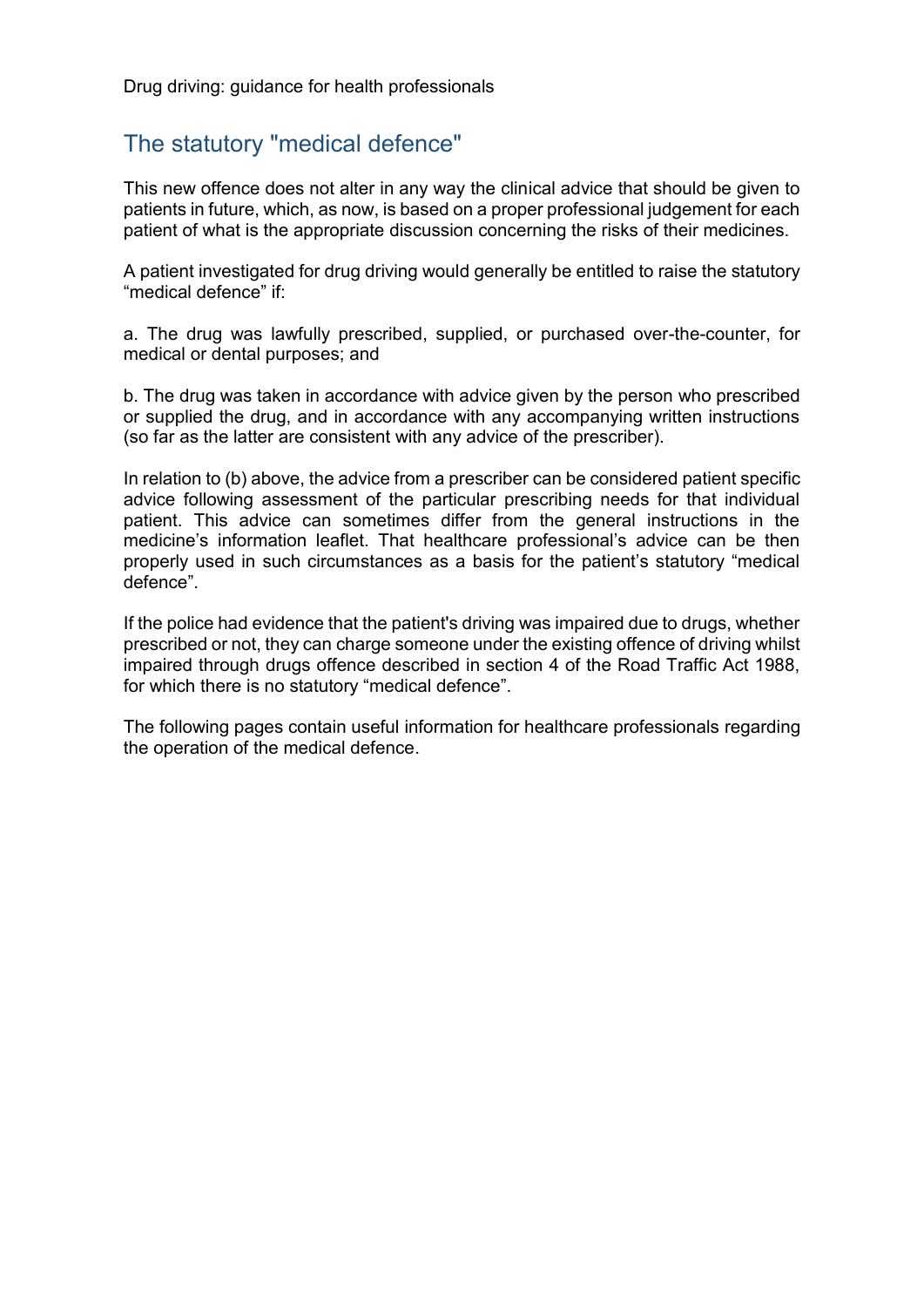# The statutory "medical defence"

This new offence does not alter in any way the clinical advice that should be given to patients in future, which, as now, is based on a proper professional judgement for each patient of what is the appropriate discussion concerning the risks of their medicines.

A patient investigated for drug driving would generally be entitled to raise the statutory "medical defence" if:

a. The drug was lawfully prescribed, supplied, or purchased over-the-counter, for medical or dental purposes; and

b. The drug was taken in accordance with advice given by the person who prescribed or supplied the drug, and in accordance with any accompanying written instructions (so far as the latter are consistent with any advice of the prescriber).

In relation to (b) above, the advice from a prescriber can be considered patient specific advice following assessment of the particular prescribing needs for that individual patient. This advice can sometimes differ from the general instructions in the medicine's information leaflet. That healthcare professional's advice can be then properly used in such circumstances as a basis for the patient's statutory "medical defence".

If the police had evidence that the patient's driving was impaired due to drugs, whether prescribed or not, they can charge someone under the existing offence of driving whilst impaired through drugs offence described in section 4 of the Road Traffic Act 1988, for which there is no statutory "medical defence".

The following pages contain useful information for healthcare professionals regarding the operation of the medical defence.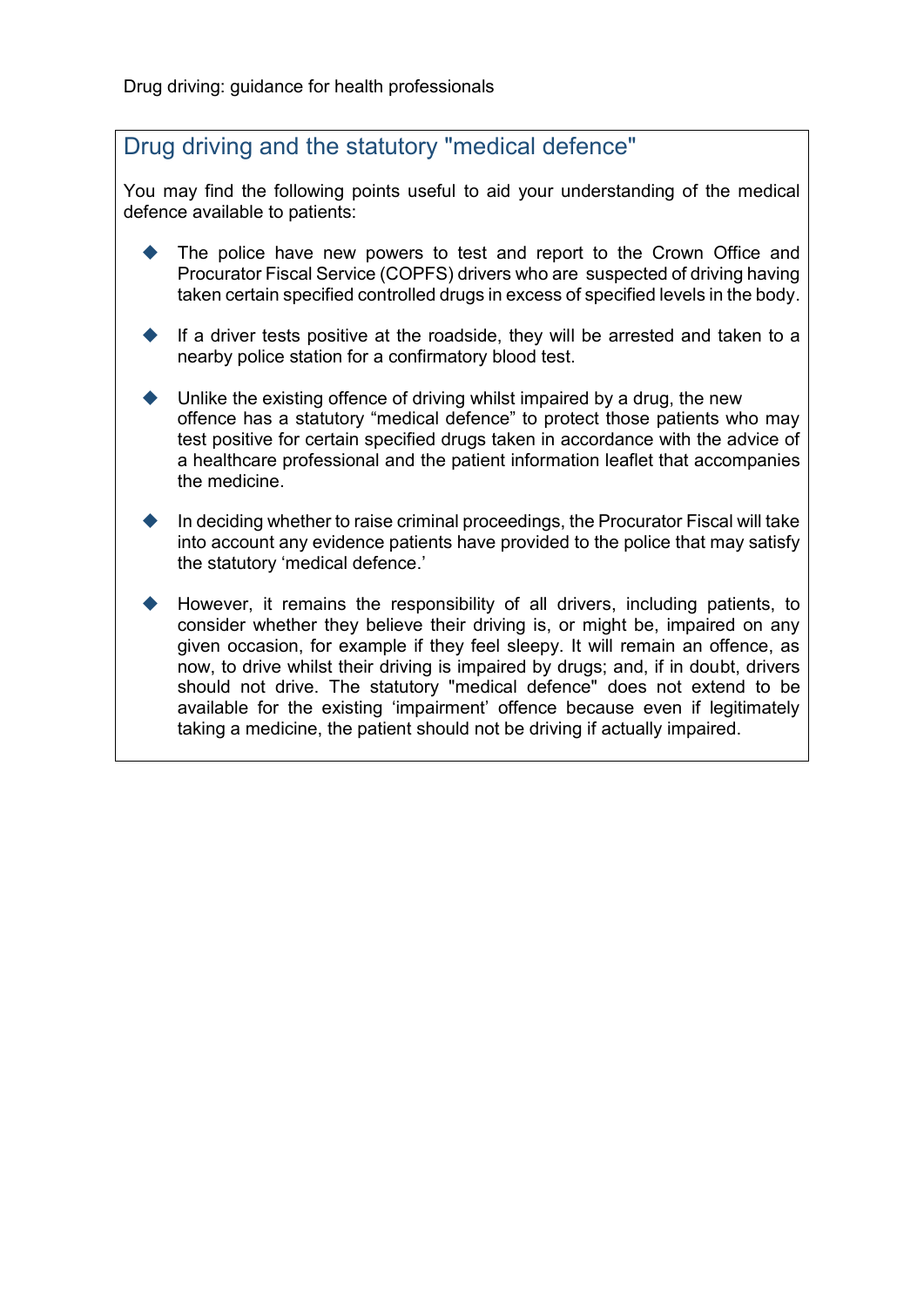#### Drug driving and the statutory "medical defence"

You may find the following points useful to aid your understanding of the medical defence available to patients:

- The police have new powers to test and report to the Crown Office and Procurator Fiscal Service (COPFS) drivers who are suspected of driving having taken certain specified controlled drugs in excess of specified levels in the body.
- If a driver tests positive at the roadside, they will be arrested and taken to a nearby police station for a confirmatory blood test.
- Unlike the existing offence of driving whilst impaired by a drug, the new offence has a statutory "medical defence" to protect those patients who may test positive for certain specified drugs taken in accordance with the advice of a healthcare professional and the patient information leaflet that accompanies the medicine.
- In deciding whether to raise criminal proceedings, the Procurator Fiscal will take into account any evidence patients have provided to the police that may satisfy the statutory 'medical defence.'
- However, it remains the responsibility of all drivers, including patients, to consider whether they believe their driving is, or might be, impaired on any given occasion, for example if they feel sleepy. It will remain an offence, as now, to drive whilst their driving is impaired by drugs; and, if in doubt, drivers should not drive. The statutory "medical defence" does not extend to be available for the existing 'impairment' offence because even if legitimately taking a medicine, the patient should not be driving if actually impaired.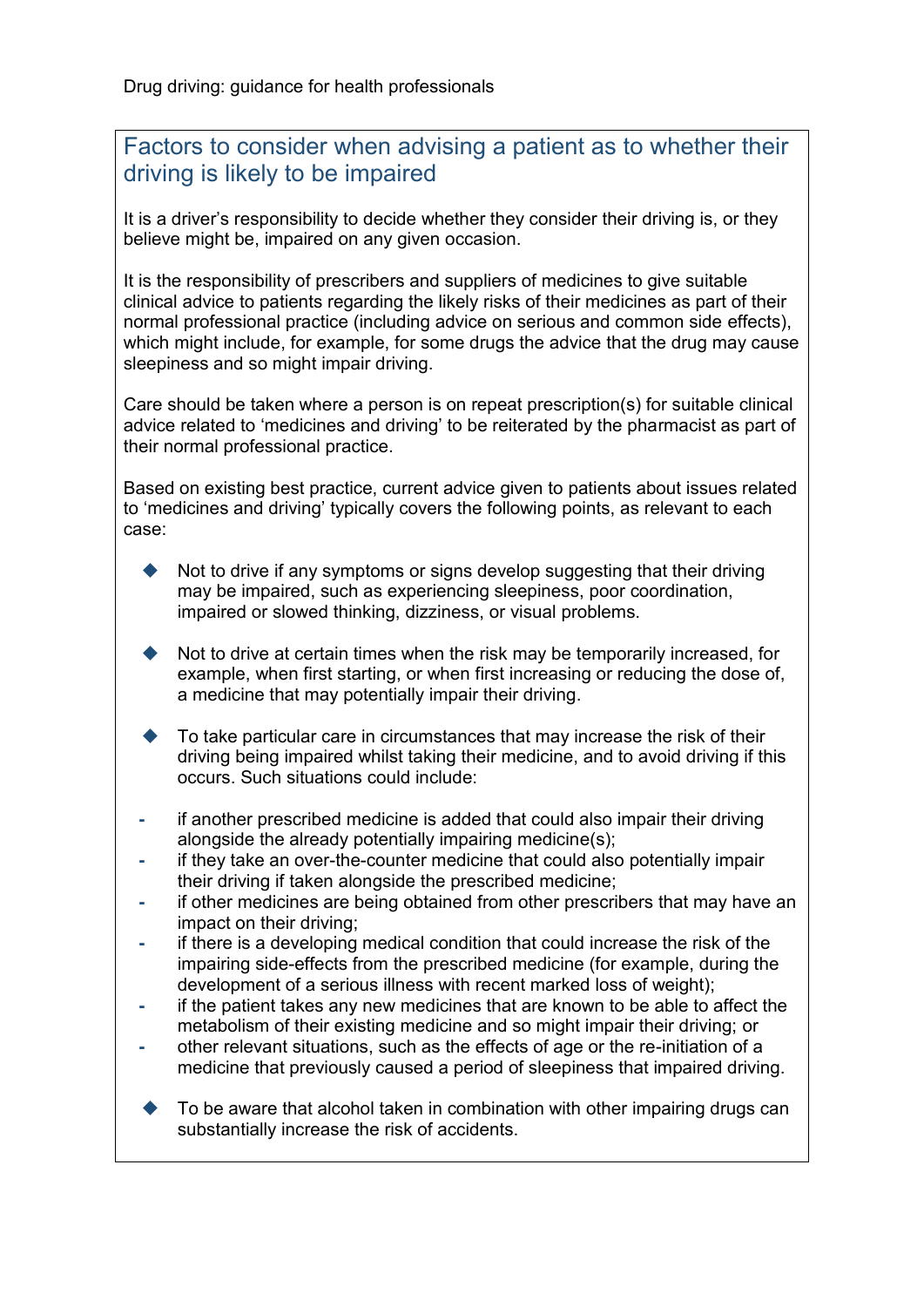Drug driving: guidance for health professionals

### Factors to consider when advising a patient as to whether their driving is likely to be impaired

It is a driver's responsibility to decide whether they consider their driving is, or they believe might be, impaired on any given occasion.

It is the responsibility of prescribers and suppliers of medicines to give suitable clinical advice to patients regarding the likely risks of their medicines as part of their normal professional practice (including advice on serious and common side effects), which might include, for example, for some drugs the advice that the drug may cause sleepiness and so might impair driving.

Care should be taken where a person is on repeat prescription(s) for suitable clinical advice related to 'medicines and driving' to be reiterated by the pharmacist as part of their normal professional practice.

Based on existing best practice, current advice given to patients about issues related to 'medicines and driving' typically covers the following points, as relevant to each case:

- Not to drive if any symptoms or signs develop suggesting that their driving may be impaired, such as experiencing sleepiness, poor coordination, impaired or slowed thinking, dizziness, or visual problems.
- Not to drive at certain times when the risk may be temporarily increased, for example, when first starting, or when first increasing or reducing the dose of, a medicine that may potentially impair their driving.
- To take particular care in circumstances that may increase the risk of their driving being impaired whilst taking their medicine, and to avoid driving if this occurs. Such situations could include:
- **-** if another prescribed medicine is added that could also impair their driving alongside the already potentially impairing medicine(s);
- **-** if they take an over-the-counter medicine that could also potentially impair their driving if taken alongside the prescribed medicine;
- **-** if other medicines are being obtained from other prescribers that may have an impact on their driving;
- **-** if there is a developing medical condition that could increase the risk of the impairing side-effects from the prescribed medicine (for example, during the development of a serious illness with recent marked loss of weight);
- **-** if the patient takes any new medicines that are known to be able to affect the metabolism of their existing medicine and so might impair their driving; or
- **-** other relevant situations, such as the effects of age or the re-initiation of a medicine that previously caused a period of sleepiness that impaired driving.
- To be aware that alcohol taken in combination with other impairing drugs can substantially increase the risk of accidents.